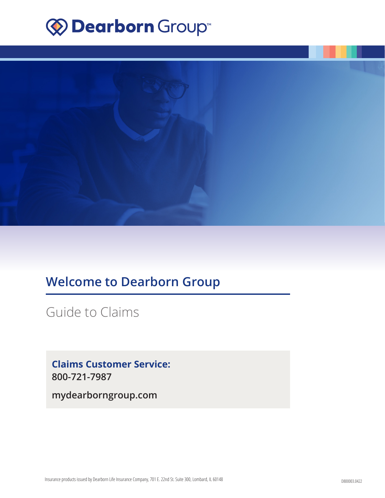# **Explorer Group™**



# **Welcome to Dearborn Group**

Guide to Claims

**Claims Customer Service: 800-721-7987**

**mydearborngroup.com**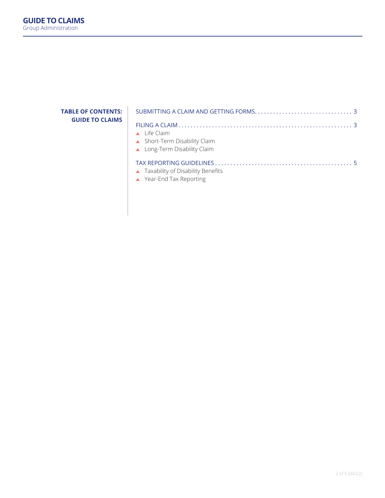# **TABLE OF CONTENTS: GUIDE TO CLAIMS**

| $\triangle$ Life Claim                                               |  |
|----------------------------------------------------------------------|--|
| ▲ Short-Term Disability Claim                                        |  |
| ▲ Long-Term Disability Claim                                         |  |
|                                                                      |  |
| ▲ Taxability of Disability Benefits                                  |  |
| $\mathcal{N}$ . The set of $\mathcal{N}$ is the set of $\mathcal{N}$ |  |

▲ Year-End Tax Reporting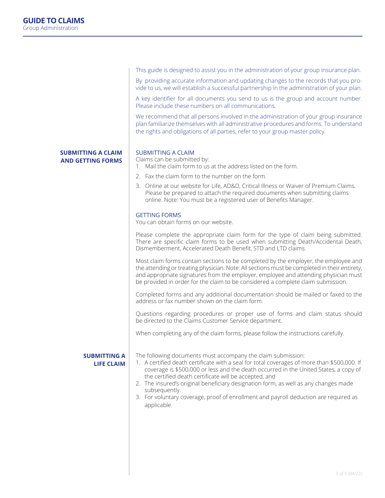|                                                       | This guide is designed to assist you in the administration of your group insurance plan.                                                                                                                                                                                                                                                                                                                                                                                                                                    |
|-------------------------------------------------------|-----------------------------------------------------------------------------------------------------------------------------------------------------------------------------------------------------------------------------------------------------------------------------------------------------------------------------------------------------------------------------------------------------------------------------------------------------------------------------------------------------------------------------|
|                                                       | By providing accurate information and updating changes to the records that you pro-<br>vide to us, we will establish a successful partnership in the administration of your plan.                                                                                                                                                                                                                                                                                                                                           |
|                                                       | A key identifier for all documents you send to us is the group and account number.<br>Please include these numbers on all communications.                                                                                                                                                                                                                                                                                                                                                                                   |
|                                                       | We recommend that all persons involved in the administration of your group insurance<br>plan familiarize themselves with all administrative procedures and forms. To understand<br>the rights and obligations of all parties, refer to your group master policy.                                                                                                                                                                                                                                                            |
| <b>SUBMITTING A CLAIM</b><br><b>AND GETTING FORMS</b> | <b>SUBMITTING A CLAIM</b><br>Claims can be submitted by:<br>1. Mail the claim form to us at the address listed on the form.                                                                                                                                                                                                                                                                                                                                                                                                 |
|                                                       | 2. Fax the claim form to the number on the form.                                                                                                                                                                                                                                                                                                                                                                                                                                                                            |
|                                                       | 3. Online at our website for Life, AD&D, Critical Illness or Waiver of Premium Claims.<br>Please be prepared to attach the required documents when submitting claims<br>online. Note: You must be a registered user of Benefits Manager.                                                                                                                                                                                                                                                                                    |
|                                                       | <b>GETTING FORMS</b><br>You can obtain forms on our website.                                                                                                                                                                                                                                                                                                                                                                                                                                                                |
|                                                       | Please complete the appropriate claim form for the type of claim being submitted.<br>There are specific claim forms to be used when submitting Death/Accidental Death,<br>Dismemberment, Accelerated Death Benefit, STD and LTD claims.                                                                                                                                                                                                                                                                                     |
|                                                       | Most claim forms contain sections to be completed by the employer, the employee and<br>the attending or treating physician. Note: All sections must be completed in their entirety,<br>and appropriate signatures from the employer, employee and attending physician must<br>be provided in order for the claim to be considered a complete claim submission.                                                                                                                                                              |
|                                                       | Completed forms and any additional documentation should be mailed or faxed to the<br>address or fax number shown on the claim form.                                                                                                                                                                                                                                                                                                                                                                                         |
|                                                       | Questions regarding procedures or proper use of forms and claim status should<br>be directed to the Claims Customer Service department.                                                                                                                                                                                                                                                                                                                                                                                     |
|                                                       | When completing any of the claim forms, please follow the instructions carefully.                                                                                                                                                                                                                                                                                                                                                                                                                                           |
| <b>SUBMITTING A</b><br><b>LIFE CLAIM</b>              | The following documents must accompany the claim submission:<br>1. A certified death certificate with a seal for total coverages of more than \$500,000. If<br>coverage is \$500,000 or less and the death occurred in the United States, a copy of<br>the certified death certificate will be accepted, and<br>2. The insured's original beneficiary designation form, as well as any changes made<br>subsequently.<br>3. For voluntary coverage, proof of enrollment and payroll deduction are required as<br>applicable. |
|                                                       |                                                                                                                                                                                                                                                                                                                                                                                                                                                                                                                             |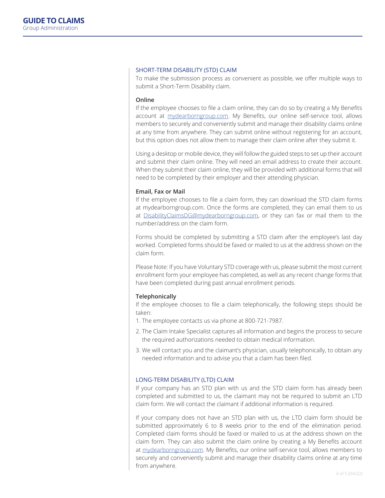#### SHORT-TERM DISABILITY (STD) CLAIM

To make the submission process as convenient as possible, we offer multiple ways to submit a Short-Term Disability claim.

#### **Online**

If the employee chooses to file a claim online, they can do so by creating a My Benefits account at mydearborngroup.com. My Benefits, our online self-service tool, allows members to securely and conveniently submit and manage their disability claims online at any time from anywhere. They can submit online without registering for an account, but this option does not allow them to manage their claim online after they submit it.

Using a desktop or mobile device, they will follow the guided steps to set up their account and submit their claim online. They will need an email address to create their account. When they submit their claim online, they will be provided with additional forms that will need to be completed by their employer and their attending physician.

#### **Email, Fax or Mail**

If the employee chooses to file a claim form, they can download the STD claim forms at mydearborngroup.com. Once the forms are completed, they can email them to us at DisabilityClaimsDG@mydearborngroup.com, or they can fax or mail them to the number/address on the claim form.

Forms should be completed by submitting a STD claim after the employee's last day worked. Completed forms should be faxed or mailed to us at the address shown on the claim form.

Please Note: If you have Voluntary STD coverage with us, please submit the most current enrollment form your employee has completed, as well as any recent change forms that have been completed during past annual enrollment periods.

#### **Telephonically**

If the employee chooses to file a claim telephonically, the following steps should be taken:

- 1. The employee contacts us via phone at 800-721-7987.
- 2. The Claim Intake Specialist captures all information and begins the process to secure the required authorizations needed to obtain medical information.
- 3. We will contact you and the claimant's physician, usually telephonically, to obtain any needed information and to advise you that a claim has been filed.

#### LONG-TERM DISABILITY (LTD) CLAIM

If your company has an STD plan with us and the STD claim form has already been completed and submitted to us, the claimant may not be required to submit an LTD claim form. We will contact the claimant if additional information is required.

If your company does not have an STD plan with us, the LTD claim form should be submitted approximately 6 to 8 weeks prior to the end of the elimination period. Completed claim forms should be faxed or mailed to us at the address shown on the claim form. They can also submit the claim online by creating a My Benefits account at mydearborngroup.com. My Benefits, our online self-service tool, allows members to securely and conveniently submit and manage their disability claims online at any time from anywhere.